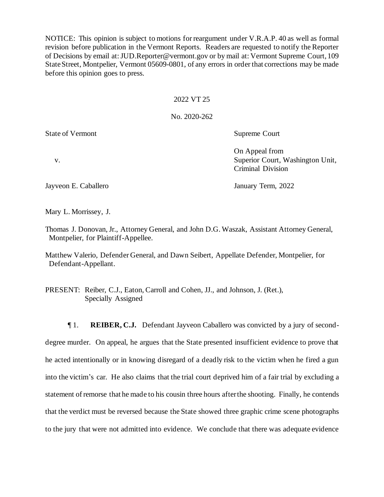NOTICE: This opinion is subject to motions for reargument under V.R.A.P. 40 as well as formal revision before publication in the Vermont Reports. Readers are requested to notify the Reporter of Decisions by email at: JUD.Reporter@vermont.gov or by mail at: Vermont Supreme Court, 109 State Street, Montpelier, Vermont 05609-0801, of any errors in order that corrections may be made before this opinion goes to press.

### 2022 VT 25

No. 2020-262

State of Vermont Supreme Court

On Appeal from v. Superior Court, Washington Unit, Criminal Division

Jayveon E. Caballero January Term, 2022

Mary L. Morrissey, J.

Thomas J. Donovan, Jr., Attorney General, and John D.G. Waszak, Assistant Attorney General, Montpelier, for Plaintiff-Appellee.

Matthew Valerio, Defender General, and Dawn Seibert, Appellate Defender, Montpelier, for Defendant-Appellant.

PRESENT: Reiber, C.J., Eaton, Carroll and Cohen, JJ., and Johnson, J. (Ret.), Specially Assigned

¶ 1. **REIBER, C.J.** Defendant Jayveon Caballero was convicted by a jury of seconddegree murder. On appeal, he argues that the State presented insufficient evidence to prove that he acted intentionally or in knowing disregard of a deadly risk to the victim when he fired a gun into the victim's car. He also claims that the trial court deprived him of a fair trial by excluding a statement of remorse that he made to his cousin three hours after the shooting. Finally, he contends that the verdict must be reversed because the State showed three graphic crime scene photographs to the jury that were not admitted into evidence. We conclude that there was adequate evidence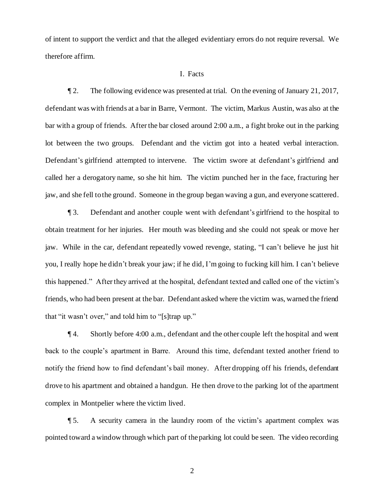of intent to support the verdict and that the alleged evidentiary errors do not require reversal. We therefore affirm.

#### I. Facts

¶ 2. The following evidence was presented at trial. On the evening of January 21, 2017, defendant was with friends at a bar in Barre, Vermont. The victim, Markus Austin, was also at the bar with a group of friends. After the bar closed around 2:00 a.m., a fight broke out in the parking lot between the two groups. Defendant and the victim got into a heated verbal interaction. Defendant's girlfriend attempted to intervene. The victim swore at defendant's girlfriend and called her a derogatory name, so she hit him. The victim punched her in the face, fracturing her jaw, and she fell to the ground. Someone in the group began waving a gun, and everyone scattered.

¶ 3. Defendant and another couple went with defendant's girlfriend to the hospital to obtain treatment for her injuries. Her mouth was bleeding and she could not speak or move her jaw. While in the car, defendant repeatedly vowed revenge, stating, "I can't believe he just hit you, I really hope he didn't break your jaw; if he did, I'm going to fucking kill him. I can't believe this happened." After they arrived at the hospital, defendant texted and called one of the victim's friends, who had been present at the bar. Defendant asked where the victim was, warned the friend that "it wasn't over," and told him to "[s]trap up."

¶ 4. Shortly before 4:00 a.m., defendant and the other couple left the hospital and went back to the couple's apartment in Barre. Around this time, defendant texted another friend to notify the friend how to find defendant's bail money. After dropping off his friends, defendant drove to his apartment and obtained a handgun. He then drove to the parking lot of the apartment complex in Montpelier where the victim lived.

¶ 5. A security camera in the laundry room of the victim's apartment complex was pointed toward a window through which part of the parking lot could be seen. The video recording

2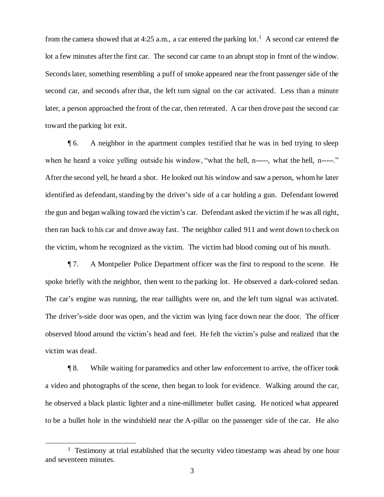from the camera showed that at 4:25 a.m., a car entered the parking  $\text{lot.}^1$  A second car entered the lot a few minutes after the first car. The second car came to an abrupt stop in front of the window. Seconds later, something resembling a puff of smoke appeared near the front passenger side of the second car, and seconds after that, the left turn signal on the car activated. Less than a minute later, a person approached the front of the car, then retreated. A car then drove past the second car toward the parking lot exit.

¶ 6. A neighbor in the apartment complex testified that he was in bed trying to sleep when he heard a voice yelling outside his window, "what the hell, n-----, what the hell, n-----." After the second yell, he heard a shot. He looked out his window and saw a person, whom he later identified as defendant, standing by the driver's side of a car holding a gun. Defendant lowered the gun and began walking toward the victim's car. Defendant asked the victim if he was all right, then ran back to his car and drove away fast. The neighbor called 911 and went down to check on the victim, whom he recognized as the victim. The victim had blood coming out of his mouth.

¶ 7. A Montpelier Police Department officer was the first to respond to the scene. He spoke briefly with the neighbor, then went to the parking lot. He observed a dark-colored sedan. The car's engine was running, the rear taillights were on, and the left turn signal was activated. The driver's-side door was open, and the victim was lying face down near the door. The officer observed blood around the victim's head and feet. He felt the victim's pulse and realized that the victim was dead.

¶ 8. While waiting for paramedics and other law enforcement to arrive, the officer took a video and photographs of the scene, then began to look for evidence. Walking around the car, he observed a black plastic lighter and a nine-millimeter bullet casing. He noticed what appeared to be a bullet hole in the windshield near the A-pillar on the passenger side of the car. He also

<sup>&</sup>lt;sup>1</sup> Testimony at trial established that the security video timestamp was ahead by one hour and seventeen minutes.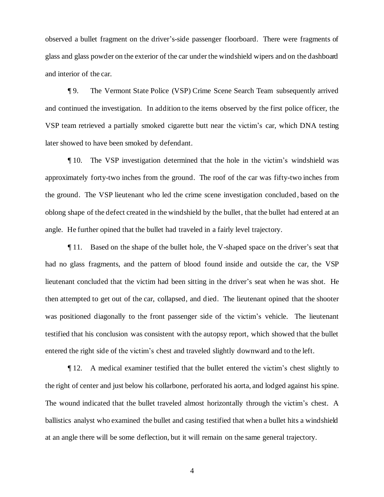observed a bullet fragment on the driver's-side passenger floorboard. There were fragments of glass and glass powder on the exterior of the car under the windshield wipers and on the dashboard and interior of the car.

¶ 9. The Vermont State Police (VSP) Crime Scene Search Team subsequently arrived and continued the investigation. In addition to the items observed by the first police officer, the VSP team retrieved a partially smoked cigarette butt near the victim's car, which DNA testing later showed to have been smoked by defendant.

¶ 10. The VSP investigation determined that the hole in the victim's windshield was approximately forty-two inches from the ground. The roof of the car was fifty-two inches from the ground. The VSP lieutenant who led the crime scene investigation concluded , based on the oblong shape of the defect created in the windshield by the bullet, that the bullet had entered at an angle. He further opined that the bullet had traveled in a fairly level trajectory.

¶ 11. Based on the shape of the bullet hole, the V-shaped space on the driver's seat that had no glass fragments, and the pattern of blood found inside and outside the car, the VSP lieutenant concluded that the victim had been sitting in the driver's seat when he was shot. He then attempted to get out of the car, collapsed, and died. The lieutenant opined that the shooter was positioned diagonally to the front passenger side of the victim's vehicle. The lieutenant testified that his conclusion was consistent with the autopsy report, which showed that the bullet entered the right side of the victim's chest and traveled slightly downward and to the left.

¶ 12. A medical examiner testified that the bullet entered the victim's chest slightly to the right of center and just below his collarbone, perforated his aorta, and lodged against his spine. The wound indicated that the bullet traveled almost horizontally through the victim's chest. A ballistics analyst who examined the bullet and casing testified that when a bullet hits a windshield at an angle there will be some deflection, but it will remain on the same general trajectory.

4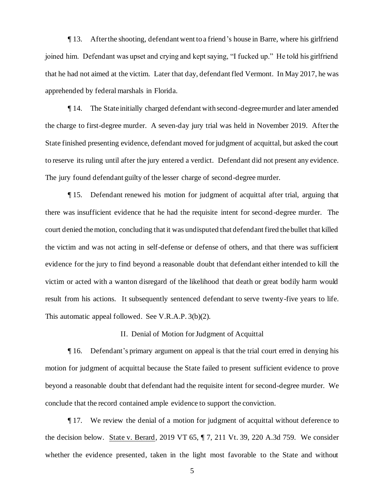¶ 13. After the shooting, defendant went to a friend's house in Barre, where his girlfriend joined him. Defendant was upset and crying and kept saying, "I fucked up." He told his girlfriend that he had not aimed at the victim. Later that day, defendant fled Vermont. In May 2017, he was apprehended by federal marshals in Florida.

¶ 14. The State initially charged defendant with second-degree murder and later amended the charge to first-degree murder. A seven-day jury trial was held in November 2019. After the State finished presenting evidence, defendant moved for judgment of acquittal, but asked the court to reserve its ruling until after the jury entered a verdict. Defendant did not present any evidence. The jury found defendant guilty of the lesser charge of second-degree murder.

¶ 15. Defendant renewed his motion for judgment of acquittal after trial, arguing that there was insufficient evidence that he had the requisite intent for second -degree murder. The court denied the motion, concluding that it was undisputed that defendant fired the bullet that killed the victim and was not acting in self-defense or defense of others, and that there was sufficient evidence for the jury to find beyond a reasonable doubt that defendant either intended to kill the victim or acted with a wanton disregard of the likelihood that death or great bodily harm would result from his actions. It subsequently sentenced defendant to serve twenty-five years to life. This automatic appeal followed. See V.R.A.P. 3(b)(2).

II. Denial of Motion for Judgment of Acquittal

¶ 16. Defendant's primary argument on appeal is that the trial court erred in denying his motion for judgment of acquittal because the State failed to present sufficient evidence to prove beyond a reasonable doubt that defendant had the requisite intent for second-degree murder. We conclude that the record contained ample evidence to support the conviction.

¶ 17. We review the denial of a motion for judgment of acquittal without deference to the decision below. State v. Berard, 2019 VT 65, ¶ 7, 211 Vt. 39, 220 A.3d 759. We consider whether the evidence presented, taken in the light most favorable to the State and without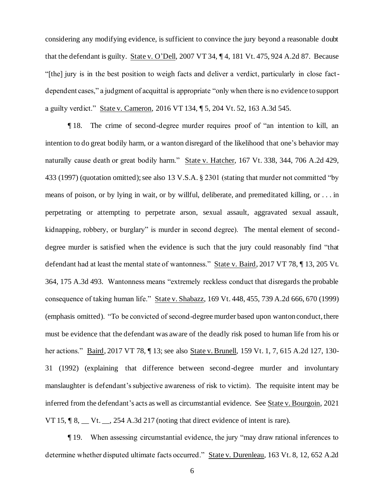considering any modifying evidence, is sufficient to convince the jury beyond a reasonable doubt that the defendant is guilty. State v. O'Dell, 2007 VT 34, ¶ 4, 181 Vt. 475, 924 A.2d 87. Because "[the] jury is in the best position to weigh facts and deliver a verdict, particularly in close factdependent cases," a judgment of acquittal is appropriate "only when there is no evidence to support a guilty verdict." State v. Cameron, 2016 VT 134, ¶ 5, 204 Vt. 52, 163 A.3d 545.

¶ 18. The crime of second-degree murder requires proof of "an intention to kill, an intention to do great bodily harm, or a wanton disregard of the likelihood that one's behavior may naturally cause death or great bodily harm." State v. Hatcher, 167 Vt. 338, 344, 706 A.2d 429, 433 (1997) (quotation omitted); see also 13 V.S.A. § 2301 (stating that murder not committed "by means of poison, or by lying in wait, or by willful, deliberate, and premeditated killing, or . . . in perpetrating or attempting to perpetrate arson, sexual assault, aggravated sexual assault, kidnapping, robbery, or burglary" is murder in second degree). The mental element of seconddegree murder is satisfied when the evidence is such that the jury could reasonably find "that defendant had at least the mental state of wantonness." State v. Baird, 2017 VT 78, ¶ 13, 205 Vt. 364, 175 A.3d 493. Wantonness means "extremely reckless conduct that disregards the probable consequence of taking human life." State v. Shabazz, 169 Vt. 448, 455, 739 A.2d 666, 670 (1999) (emphasis omitted). "To be convicted of second-degree murder based upon wanton conduct, there must be evidence that the defendant was aware of the deadly risk posed to human life from his or her actions." <u>Baird</u>, 2017 VT 78, ¶ 13; see also <u>State v. Brunell</u>, 159 Vt. 1, 7, 615 A.2d 127, 130-31 (1992) (explaining that difference between second-degree murder and involuntary manslaughter is defendant's subjective awareness of risk to victim). The requisite intent may be inferred from the defendant's acts as well as circumstantial evidence. See State v. Bourgoin, 2021 VT 15,  $\P$  8,  $\P$  Vt.  $\Box$ , 254 A.3d 217 (noting that direct evidence of intent is rare).

¶ 19. When assessing circumstantial evidence, the jury "may draw rational inferences to determine whether disputed ultimate facts occurred." State v. Durenleau, 163 Vt. 8, 12, 652 A.2d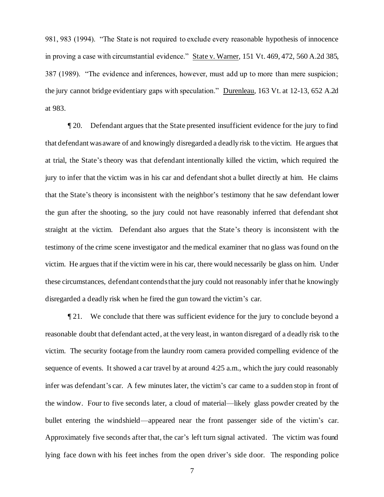981, 983 (1994). "The State is not required to exclude every reasonable hypothesis of innocence in proving a case with circumstantial evidence." State v. Warner, 151 Vt. 469, 472, 560 A.2d 385, 387 (1989). "The evidence and inferences, however, must add up to more than mere suspicion; the jury cannot bridge evidentiary gaps with speculation." Durenleau, 163 Vt. at 12-13, 652 A.2d at 983.

¶ 20. Defendant argues that the State presented insufficient evidence for the jury to find that defendant was aware of and knowingly disregarded a deadly risk to the victim. He argues that at trial, the State's theory was that defendant intentionally killed the victim, which required the jury to infer that the victim was in his car and defendant shot a bullet directly at him. He claims that the State's theory is inconsistent with the neighbor's testimony that he saw defendant lower the gun after the shooting, so the jury could not have reasonably inferred that defendant shot straight at the victim. Defendant also argues that the State's theory is inconsistent with the testimony of the crime scene investigator and the medical examiner that no glass was found on the victim. He argues that if the victim were in his car, there would necessarily be glass on him. Under these circumstances, defendant contends that the jury could not reasonably infer that he knowingly disregarded a deadly risk when he fired the gun toward the victim's car.

¶ 21. We conclude that there was sufficient evidence for the jury to conclude beyond a reasonable doubt that defendant acted, at the very least, in wanton disregard of a deadly risk to the victim. The security footage from the laundry room camera provided compelling evidence of the sequence of events. It showed a car travel by at around 4:25 a.m., which the jury could reasonably infer was defendant's car. A few minutes later, the victim's car came to a sudden stop in front of the window. Four to five seconds later, a cloud of material—likely glass powder created by the bullet entering the windshield—appeared near the front passenger side of the victim's car. Approximately five seconds after that, the car's left turn signal activated. The victim was found lying face down with his feet inches from the open driver's side door. The responding police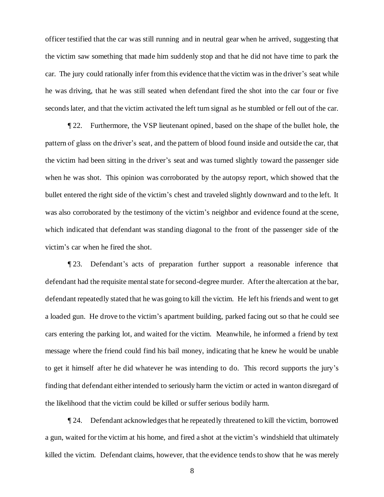officer testified that the car was still running and in neutral gear when he arrived, suggesting that the victim saw something that made him suddenly stop and that he did not have time to park the car. The jury could rationally infer from this evidence that the victim was in the driver's seat while he was driving, that he was still seated when defendant fired the shot into the car four or five seconds later, and that the victim activated the left turn signal as he stumbled or fell out of the car.

¶ 22. Furthermore, the VSP lieutenant opined, based on the shape of the bullet hole, the pattern of glass on the driver's seat, and the pattern of blood found inside and outside the car, that the victim had been sitting in the driver's seat and was turned slightly toward the passenger side when he was shot. This opinion was corroborated by the autopsy report, which showed that the bullet entered the right side of the victim's chest and traveled slightly downward and to the left. It was also corroborated by the testimony of the victim's neighbor and evidence found at the scene, which indicated that defendant was standing diagonal to the front of the passenger side of the victim's car when he fired the shot.

¶ 23. Defendant's acts of preparation further support a reasonable inference that defendant had the requisite mental state for second-degree murder. After the altercation at the bar, defendant repeatedly stated that he was going to kill the victim. He left his friends and went to get a loaded gun. He drove to the victim's apartment building, parked facing out so that he could see cars entering the parking lot, and waited for the victim. Meanwhile, he informed a friend by text message where the friend could find his bail money, indicating that he knew he would be unable to get it himself after he did whatever he was intending to do. This record supports the jury's finding that defendant either intended to seriously harm the victim or acted in wanton disregard of the likelihood that the victim could be killed or suffer serious bodily harm.

¶ 24. Defendant acknowledges that he repeatedly threatened to kill the victim, borrowed a gun, waited for the victim at his home, and fired a shot at the victim's windshield that ultimately killed the victim. Defendant claims, however, that the evidence tends to show that he was merely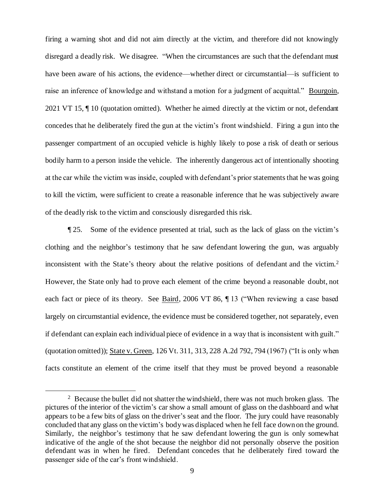firing a warning shot and did not aim directly at the victim, and therefore did not knowingly disregard a deadly risk. We disagree. "When the circumstances are such that the defendant must have been aware of his actions, the evidence—whether direct or circumstantial—is sufficient to raise an inference of knowledge and withstand a motion for a judgment of acquittal." Bourgoin, 2021 VT 15, ¶ 10 (quotation omitted). Whether he aimed directly at the victim or not, defendant concedes that he deliberately fired the gun at the victim's front windshield. Firing a gun into the passenger compartment of an occupied vehicle is highly likely to pose a risk of death or serious bodily harm to a person inside the vehicle. The inherently dangerous act of intentionally shooting at the car while the victim was inside, coupled with defendant's prior statements that he was going to kill the victim, were sufficient to create a reasonable inference that he was subjectively aware of the deadly risk to the victim and consciously disregarded this risk.

¶ 25. Some of the evidence presented at trial, such as the lack of glass on the victim's clothing and the neighbor's testimony that he saw defendant lowering the gun, was arguably inconsistent with the State's theory about the relative positions of defendant and the victim.<sup>2</sup> However, the State only had to prove each element of the crime beyond a reasonable doubt, not each fact or piece of its theory. See Baird, 2006 VT 86, ¶ 13 ("When reviewing a case based largely on circumstantial evidence, the evidence must be considered together, not separately, even if defendant can explain each individual piece of evidence in a way that is inconsistent with guilt." (quotation omitted)); State v. Green, 126 Vt. 311, 313, 228 A.2d 792, 794 (1967) ("It is only when facts constitute an element of the crime itself that they must be proved beyond a reasonable

<sup>&</sup>lt;sup>2</sup> Because the bullet did not shatter the windshield, there was not much broken glass. The pictures of the interior of the victim's car show a small amount of glass on the dashboard and what appears to be a few bits of glass on the driver's seat and the floor. The jury could have reasonably concluded that any glass on the victim's body was displaced when he fell face down on the ground. Similarly, the neighbor's testimony that he saw defendant lowering the gun is only somewhat indicative of the angle of the shot because the neighbor did not personally observe the position defendant was in when he fired. Defendant concedes that he deliberately fired toward the passenger side of the car's front windshield.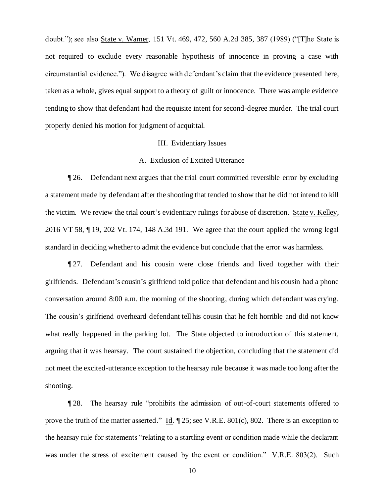doubt."); see also State v. Warner, 151 Vt. 469, 472, 560 A.2d 385, 387 (1989) ("[T]he State is not required to exclude every reasonable hypothesis of innocence in proving a case with circumstantial evidence."). We disagree with defendant's claim that the evidence presented here, taken as a whole, gives equal support to a theory of guilt or innocence. There was ample evidence tending to show that defendant had the requisite intent for second-degree murder. The trial court properly denied his motion for judgment of acquittal.

## III. Evidentiary Issues

# A. Exclusion of Excited Utterance

¶ 26. Defendant next argues that the trial court committed reversible error by excluding a statement made by defendant after the shooting that tended to show that he did not intend to kill the victim. We review the trial court's evidentiary rulings for abuse of discretion. State v. Kelley, 2016 VT 58, ¶ 19, 202 Vt. 174, 148 A.3d 191. We agree that the court applied the wrong legal standard in deciding whether to admit the evidence but conclude that the error was harmless.

¶ 27. Defendant and his cousin were close friends and lived together with their girlfriends. Defendant's cousin's girlfriend told police that defendant and his cousin had a phone conversation around 8:00 a.m. the morning of the shooting, during which defendant was crying. The cousin's girlfriend overheard defendant tell his cousin that he felt horrible and did not know what really happened in the parking lot. The State objected to introduction of this statement, arguing that it was hearsay. The court sustained the objection, concluding that the statement did not meet the excited-utterance exception to the hearsay rule because it was made too long after the shooting.

¶ 28. The hearsay rule "prohibits the admission of out-of-court statements offered to prove the truth of the matter asserted." Id. ¶ 25; see V.R.E. 801(c), 802. There is an exception to the hearsay rule for statements "relating to a startling event or condition made while the declarant was under the stress of excitement caused by the event or condition." V.R.E. 803(2). Such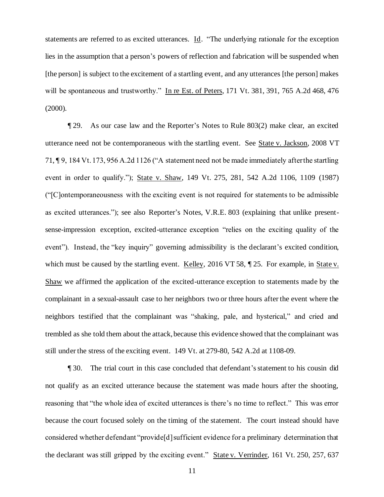statements are referred to as excited utterances. Id. "The underlying rationale for the exception lies in the assumption that a person's powers of reflection and fabrication will be suspended when [the person] is subject to the excitement of a startling event, and any utterances [the person] makes will be spontaneous and trustworthy." In re Est. of Peters, 171 Vt. 381, 391, 765 A.2d 468, 476 (2000).

¶ 29. As our case law and the Reporter's Notes to Rule 803(2) make clear, an excited utterance need not be contemporaneous with the startling event. See State v. Jackson, 2008 VT 71, ¶ 9, 184 Vt. 173, 956 A.2d 1126 ("A statement need not be made immediately after the startling event in order to qualify."); State v. Shaw, 149 Vt. 275, 281, 542 A.2d 1106, 1109 (1987) ("[C]ontemporaneousness with the exciting event is not required for statements to be admissible as excited utterances."); see also Reporter's Notes, V.R.E. 803 (explaining that unlike presentsense-impression exception, excited-utterance exception "relies on the exciting quality of the event"). Instead, the "key inquiry" governing admissibility is the declarant's excited condition, which must be caused by the startling event. Kelley, 2016 VT 58,  $\parallel$  25. For example, in State v. Shaw we affirmed the application of the excited-utterance exception to statements made by the complainant in a sexual-assault case to her neighbors two or three hours after the event where the neighbors testified that the complainant was "shaking, pale, and hysterical," and cried and trembled as she told them about the attack, because this evidence showed that the complainant was still under the stress of the exciting event. 149 Vt. at 279-80, 542 A.2d at 1108-09.

¶ 30. The trial court in this case concluded that defendant's statement to his cousin did not qualify as an excited utterance because the statement was made hours after the shooting, reasoning that "the whole idea of excited utterances is there's no time to reflect." This was error because the court focused solely on the timing of the statement. The court instead should have considered whether defendant "provide[d] sufficient evidence for a preliminary determination that the declarant was still gripped by the exciting event." State v. Verrinder, 161 Vt. 250, 257, 637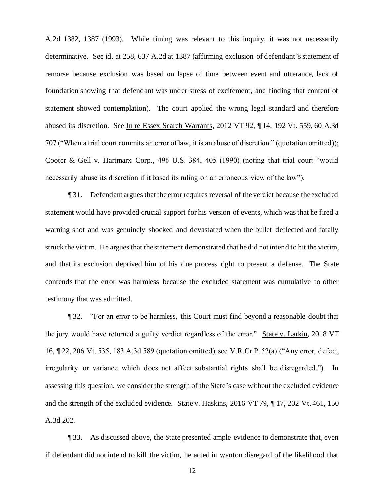A.2d 1382, 1387 (1993). While timing was relevant to this inquiry, it was not necessarily determinative. See id. at 258, 637 A.2d at 1387 (affirming exclusion of defendant's statement of remorse because exclusion was based on lapse of time between event and utterance, lack of foundation showing that defendant was under stress of excitement, and finding that content of statement showed contemplation). The court applied the wrong legal standard and therefore abused its discretion. See In re Essex Search Warrants, 2012 VT 92, ¶ 14, 192 Vt. 559, 60 A.3d 707 ("When a trial court commits an error of law, it is an abuse of discretion." (quotation omitted)); Cooter & Gell v. Hartmarx Corp., 496 U.S. 384, 405 (1990) (noting that trial court "would necessarily abuse its discretion if it based its ruling on an erroneous view of the law").

¶ 31. Defendant argues that the error requires reversal of the verdict because the excluded statement would have provided crucial support for his version of events, which was that he fired a warning shot and was genuinely shocked and devastated when the bullet deflected and fatally struck the victim. He argues that the statement demonstrated that he did not intend to hit the victim, and that its exclusion deprived him of his due process right to present a defense. The State contends that the error was harmless because the excluded statement was cumulative to other testimony that was admitted.

¶ 32. "For an error to be harmless, this Court must find beyond a reasonable doubt that the jury would have returned a guilty verdict regardless of the error." State v. Larkin, 2018 VT 16, ¶ 22, 206 Vt. 535, 183 A.3d 589 (quotation omitted); see V.R.Cr.P. 52(a) ("Any error, defect, irregularity or variance which does not affect substantial rights shall be disregarded."). In assessing this question, we consider the strength of the State's case without the excluded evidence and the strength of the excluded evidence. State v. Haskins, 2016 VT 79, ¶ 17, 202 Vt. 461, 150 A.3d 202.

¶ 33. As discussed above, the State presented ample evidence to demonstrate that, even if defendant did not intend to kill the victim, he acted in wanton disregard of the likelihood that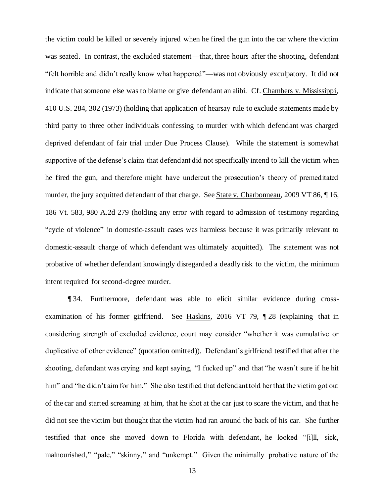the victim could be killed or severely injured when he fired the gun into the car where the victim was seated. In contrast, the excluded statement—that, three hours after the shooting, defendant "felt horrible and didn't really know what happened"—was not obviously exculpatory. It did not indicate that someone else was to blame or give defendant an alibi. Cf. Chambers v. Mississippi, 410 U.S. 284, 302 (1973) (holding that application of hearsay rule to exclude statements made by third party to three other individuals confessing to murder with which defendant was charged deprived defendant of fair trial under Due Process Clause). While the statement is somewhat supportive of the defense's claim that defendant did not specifically intend to kill the victim when he fired the gun, and therefore might have undercut the prosecution's theory of premeditated murder, the jury acquitted defendant of that charge. See State v. Charbonneau, 2009 VT 86, ¶ 16, 186 Vt. 583, 980 A.2d 279 (holding any error with regard to admission of testimony regarding "cycle of violence" in domestic-assault cases was harmless because it was primarily relevant to domestic-assault charge of which defendant was ultimately acquitted). The statement was not probative of whether defendant knowingly disregarded a deadly risk to the victim, the minimum intent required for second-degree murder.

¶ 34. Furthermore, defendant was able to elicit similar evidence during crossexamination of his former girlfriend. See Haskins, 2016 VT 79, ¶ 28 (explaining that in considering strength of excluded evidence, court may consider "whether it was cumulative or duplicative of other evidence" (quotation omitted)). Defendant's girlfriend testified that after the shooting, defendant was crying and kept saying, "I fucked up" and that "he wasn't sure if he hit him" and "he didn't aim for him." She also testified that defendant told her that the victim got out of the car and started screaming at him, that he shot at the car just to scare the victim, and that he did not see the victim but thought that the victim had ran around the back of his car. She further testified that once she moved down to Florida with defendant, he looked "[i]ll, sick, malnourished," "pale," "skinny," and "unkempt." Given the minimally probative nature of the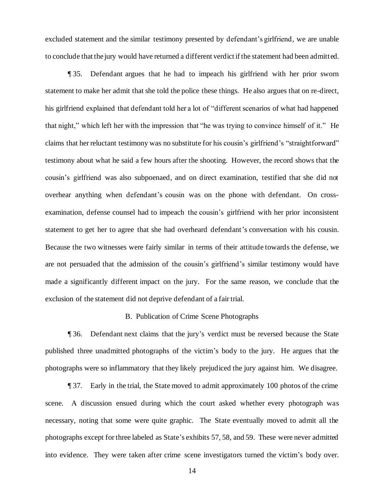excluded statement and the similar testimony presented by defendant's girlfriend, we are unable to conclude that the jury would have returned a different verdict if the statement had been admitt ed.

¶ 35. Defendant argues that he had to impeach his girlfriend with her prior sworn statement to make her admit that she told the police these things. He also argues that on re-direct, his girlfriend explained that defendant told her a lot of "different scenarios of what had happened that night," which left her with the impression that "he was trying to convince himself of it." He claims that her reluctant testimony was no substitute for his cousin's girlfriend's "straightforward" testimony about what he said a few hours after the shooting. However, the record shows that the cousin's girlfriend was also subpoenaed, and on direct examination, testified that she did not overhear anything when defendant's cousin was on the phone with defendant. On crossexamination, defense counsel had to impeach the cousin's girlfriend with her prior inconsistent statement to get her to agree that she had overheard defendant's conversation with his cousin. Because the two witnesses were fairly similar in terms of their attitude towards the defense, we are not persuaded that the admission of the cousin's girlfriend's similar testimony would have made a significantly different impact on the jury. For the same reason, we conclude that the exclusion of the statement did not deprive defendant of a fair trial.

### B. Publication of Crime Scene Photographs

¶ 36. Defendant next claims that the jury's verdict must be reversed because the State published three unadmitted photographs of the victim's body to the jury. He argues that the photographs were so inflammatory that they likely prejudiced the jury against him. We disagree.

¶ 37. Early in the trial, the State moved to admit approximately 100 photos of the crime scene. A discussion ensued during which the court asked whether every photograph was necessary, noting that some were quite graphic. The State eventually moved to admit all the photographs except for three labeled as State's exhibits 57, 58, and 59. These were never admitted into evidence. They were taken after crime scene investigators turned the victim's body over.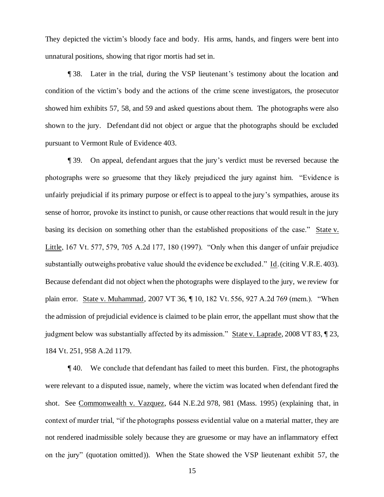They depicted the victim's bloody face and body. His arms, hands, and fingers were bent into unnatural positions, showing that rigor mortis had set in.

¶ 38. Later in the trial, during the VSP lieutenant's testimony about the location and condition of the victim's body and the actions of the crime scene investigators, the prosecutor showed him exhibits 57, 58, and 59 and asked questions about them. The photographs were also shown to the jury. Defendant did not object or argue that the photographs should be excluded pursuant to Vermont Rule of Evidence 403.

¶ 39. On appeal, defendant argues that the jury's verdict must be reversed because the photographs were so gruesome that they likely prejudiced the jury against him. "Evidence is unfairly prejudicial if its primary purpose or effect is to appeal to the jury's sympathies, arouse its sense of horror, provoke its instinct to punish, or cause other reactions that would result in the jury basing its decision on something other than the established propositions of the case." State v. Little, 167 Vt. 577, 579, 705 A.2d 177, 180 (1997). "Only when this danger of unfair prejudice substantially outweighs probative value should the evidence be excluded." Id. (citing V.R.E. 403). Because defendant did not object when the photographs were displayed to the jury, we review for plain error. State v. Muhammad, 2007 VT 36, ¶ 10, 182 Vt. 556, 927 A.2d 769 (mem.). "When the admission of prejudicial evidence is claimed to be plain error, the appellant must show that the judgment below was substantially affected by its admission." State v. Laprade, 2008 VT 83, ¶ 23, 184 Vt. 251, 958 A.2d 1179.

¶ 40. We conclude that defendant has failed to meet this burden. First, the photographs were relevant to a disputed issue, namely, where the victim was located when defendant fired the shot. See Commonwealth v. Vazquez, 644 N.E.2d 978, 981 (Mass. 1995) (explaining that, in context of murder trial, "if the photographs possess evidential value on a material matter, they are not rendered inadmissible solely because they are gruesome or may have an inflammatory effect on the jury" (quotation omitted)). When the State showed the VSP lieutenant exhibit 57, the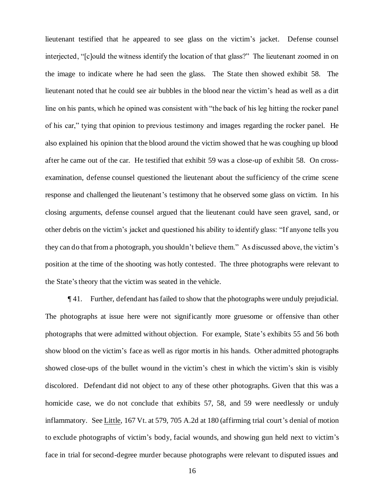lieutenant testified that he appeared to see glass on the victim's jacket. Defense counsel interjected, "[c]ould the witness identify the location of that glass?" The lieutenant zoomed in on the image to indicate where he had seen the glass. The State then showed exhibit 58. The lieutenant noted that he could see air bubbles in the blood near the victim's head as well as a dirt line on his pants, which he opined was consistent with "the back of his leg hitting the rocker panel of his car," tying that opinion to previous testimony and images regarding the rocker panel. He also explained his opinion that the blood around the victim showed that he was coughing up blood after he came out of the car. He testified that exhibit 59 was a close-up of exhibit 58. On crossexamination, defense counsel questioned the lieutenant about the sufficiency of the crime scene response and challenged the lieutenant's testimony that he observed some glass on victim. In his closing arguments, defense counsel argued that the lieutenant could have seen gravel, sand, or other debris on the victim's jacket and questioned his ability to identify glass: "If anyone tells you they can do that from a photograph, you shouldn't believe them." As discussed above, the victim's position at the time of the shooting was hotly contested. The three photographs were relevant to the State's theory that the victim was seated in the vehicle.

¶ 41. Further, defendant has failed to show that the photographs were unduly prejudicial. The photographs at issue here were not significantly more gruesome or offensive than other photographs that were admitted without objection. For example, State's exhibits 55 and 56 both show blood on the victim's face as well as rigor mortis in his hands. Other admitted photographs showed close-ups of the bullet wound in the victim's chest in which the victim's skin is visibly discolored. Defendant did not object to any of these other photographs. Given that this was a homicide case, we do not conclude that exhibits 57, 58, and 59 were needlessly or unduly inflammatory. See Little, 167 Vt. at 579, 705 A.2d at 180 (affirming trial court's denial of motion to exclude photographs of victim's body, facial wounds, and showing gun held next to victim's face in trial for second-degree murder because photographs were relevant to disputed issues and